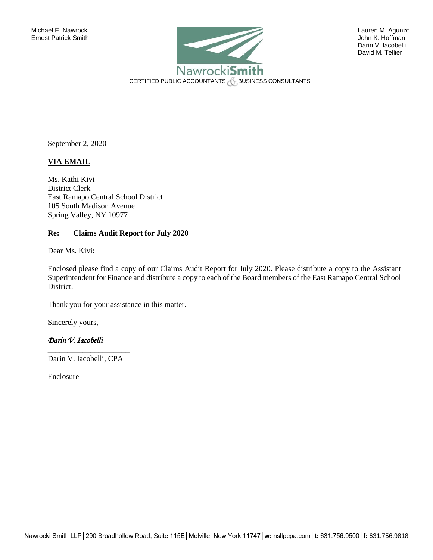

 Darin V. Iacobelli David M. Tellier

September 2, 2020

# **VIA EMAIL**

Ms. Kathi Kivi District Clerk East Ramapo Central School District 105 South Madison Avenue Spring Valley, NY 10977

# **Re: Claims Audit Report for July 2020**

Dear Ms. Kivi:

Enclosed please find a copy of our Claims Audit Report for July 2020. Please distribute a copy to the Assistant Superintendent for Finance and distribute a copy to each of the Board members of the East Ramapo Central School District.

Thank you for your assistance in this matter.

Sincerely yours,

# *Darin V. Iacobelli*

\_\_\_\_\_\_\_\_\_\_\_\_\_\_\_\_\_\_\_\_\_ Darin V. Iacobelli, CPA

Enclosure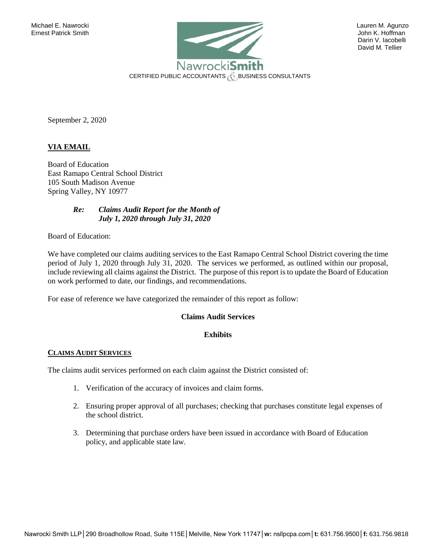

 Darin V. Iacobelli David M. Tellier

September 2, 2020

# **VIA EMAIL**

Board of Education East Ramapo Central School District 105 South Madison Avenue Spring Valley, NY 10977

# *Re: Claims Audit Report for the Month of July 1, 2020 through July 31, 2020*

Board of Education:

We have completed our claims auditing services to the East Ramapo Central School District covering the time period of July 1, 2020 through July 31, 2020. The services we performed, as outlined within our proposal, include reviewing all claims against the District. The purpose of this report is to update the Board of Education on work performed to date, our findings, and recommendations.

For ease of reference we have categorized the remainder of this report as follow:

## **Claims Audit Services**

### **Exhibits**

### **CLAIMS AUDIT SERVICES**

The claims audit services performed on each claim against the District consisted of:

- 1. Verification of the accuracy of invoices and claim forms.
- 2. Ensuring proper approval of all purchases; checking that purchases constitute legal expenses of the school district.
- 3. Determining that purchase orders have been issued in accordance with Board of Education policy, and applicable state law.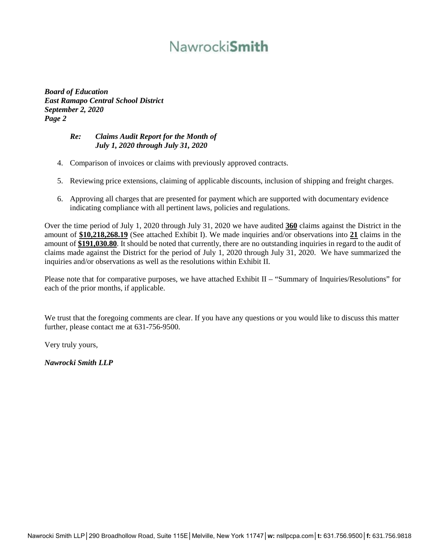# Nawrocki**Smith**

*Board of Education East Ramapo Central School District September 2, 2020 Page 2*

# *Re: Claims Audit Report for the Month of July 1, 2020 through July 31, 2020*

- 4. Comparison of invoices or claims with previously approved contracts.
- 5. Reviewing price extensions, claiming of applicable discounts, inclusion of shipping and freight charges.
- 6. Approving all charges that are presented for payment which are supported with documentary evidence indicating compliance with all pertinent laws, policies and regulations.

Over the time period of July 1, 2020 through July 31, 2020 we have audited **360** claims against the District in the amount of **\$10,218,268.19** (See attached Exhibit I). We made inquiries and/or observations into **21** claims in the amount of **\$191,030.80**. It should be noted that currently, there are no outstanding inquiries in regard to the audit of claims made against the District for the period of July 1, 2020 through July 31, 2020. We have summarized the inquiries and/or observations as well as the resolutions within Exhibit II.

Please note that for comparative purposes, we have attached Exhibit II – "Summary of Inquiries/Resolutions" for each of the prior months, if applicable.

We trust that the foregoing comments are clear. If you have any questions or you would like to discuss this matter further, please contact me at 631-756-9500.

Very truly yours,

*Nawrocki Smith LLP*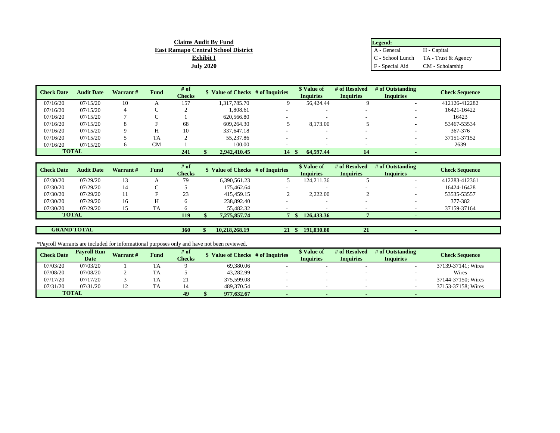| <b>Claims Audit By Fund</b>                | Legend:         |                                        |
|--------------------------------------------|-----------------|----------------------------------------|
| <b>East Ramapo Central School District</b> | A - General     | H - Capital                            |
| <b>Exhibit I</b>                           |                 | $C$ - School Lunch TA - Trust & Agency |
| <b>July 2020</b>                           | F - Special Aid | CM - Scholarship                       |

| <b>Check Date</b> | <b>Audit Date</b> | Warrant# | <b>Fund</b> | # of          | Value of Checks # of Inquiries |                          | \$ Value of      | # of Resolved    | # of Outstanding         | <b>Check Sequence</b> |
|-------------------|-------------------|----------|-------------|---------------|--------------------------------|--------------------------|------------------|------------------|--------------------------|-----------------------|
|                   |                   |          |             | <b>Checks</b> |                                |                          | <b>Inquiries</b> | <b>Inquiries</b> | <b>Inquiries</b>         |                       |
| 07/16/20          | 07/15/20          | 10       |             | 157           | 1.317.785.70                   |                          | 56,424.44        |                  | $\overline{\phantom{a}}$ | 412126-412282         |
| 07/16/20          | 07/15/20          |          |             |               | 1.808.61                       |                          |                  |                  |                          | 16421-16422           |
| 07/16/20          | 07/15/20          |          |             |               | 620,566.80                     | $\overline{\phantom{a}}$ |                  |                  |                          | 16423                 |
| 07/16/20          | 07/15/20          | 8        | ы           | 68            | 609.264.30                     |                          | 8.173.00         |                  |                          | 53467-53534           |
| 07/16/20          | 07/15/20          | Q        |             | 10            | 337,647.18                     |                          |                  |                  |                          | 367-376               |
| 07/16/20          | 07/15/20          |          | <b>TA</b>   |               | 55,237.86                      |                          |                  |                  |                          | 37151-37152           |
| 07/16/20          | 07/15/20          |          | CМ          |               | 100.00                         | -                        |                  |                  |                          | 2639                  |
| <b>TOTAL</b>      |                   |          |             | 241           | 2,942,410.45                   | 14                       | 64,597.44        | 14               |                          |                       |

| <b>Check Date</b>  | <b>Audit Date</b> | Warrant# | Fund | # of          | Value of Checks # of Inquiries |    | \$ Value of      | # of Resolved    | # of Outstanding | <b>Check Sequence</b> |  |
|--------------------|-------------------|----------|------|---------------|--------------------------------|----|------------------|------------------|------------------|-----------------------|--|
|                    |                   |          |      | <b>Checks</b> |                                |    | <b>Inquiries</b> | <b>Inquiries</b> | <b>Inquiries</b> |                       |  |
| 07/30/20           | 07/29/20          | 13       |      | 79            | 6.390.561.23                   |    | 124.211.36       |                  |                  | 412283-412361         |  |
| 07/30/20           | 07/29/20          | 14       |      |               | 175,462.64                     |    |                  |                  |                  | 16424-16428           |  |
| 07/30/20           | 07/29/20          | 11       |      | 23            | 415,459.15                     |    | 2,222.00         |                  |                  | 53535-53557           |  |
| 07/30/20           | 07/29/20          | 16       |      |               | 238,892.40                     | -  |                  | $\sim$           |                  | 377-382               |  |
| 07/30/20           | 07/29/20          | 15       | TA   |               | 55,482.32                      |    |                  |                  |                  | 37159-37164           |  |
|                    | <b>TOTAL</b>      |          |      | 119           | 7.275.857.74                   |    | 126,433.36       |                  |                  |                       |  |
|                    |                   |          |      |               |                                |    |                  |                  |                  |                       |  |
| <b>GRAND TOTAL</b> |                   |          |      | 360           | 10.218.268.19                  | 21 | 191,030.80       | 21               |                  |                       |  |

\*Payroll Warrants are included for informational purposes only and have not been reviewed.

| <b>Check Date</b> | <b>Pavroll Run</b> | <b>Warrant#</b> | Fund | # of          |            |                                                    | <i><b>*</b></i> Value of | # of Resolved    | # of Outstanding | <b>Check Sequence</b> |
|-------------------|--------------------|-----------------|------|---------------|------------|----------------------------------------------------|--------------------------|------------------|------------------|-----------------------|
|                   | <b>Date</b>        |                 |      | <b>Checks</b> |            | Value of Checks # of Inquiries<br><b>Inquiries</b> |                          | <b>Inquiries</b> | <b>Inquiries</b> |                       |
| 07/03/20          | 07/03/20           |                 | TA   |               | 69,380.06  |                                                    |                          |                  |                  | 37139-37141; Wires    |
| 07/08/20          | 07/08/20           |                 | TA   |               | 43.282.99  |                                                    |                          |                  |                  | Wires                 |
| 07/17/20          | 07/17/20           |                 | TA   | 21            | 375,599.08 |                                                    |                          |                  |                  | 37144-37150: Wires    |
| 07/31/20          | 07/31/20           |                 |      |               | 489,370.54 |                                                    |                          |                  |                  | 37153-37158; Wires    |
|                   | <b>TOTAL</b>       |                 |      | 49            | 977,632.67 |                                                    |                          |                  |                  |                       |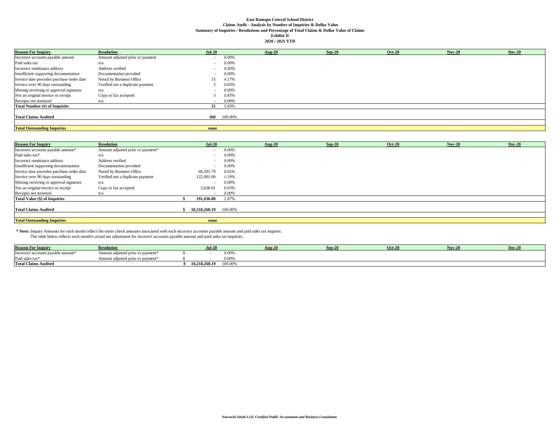#### **East Ramapo Central School District Claims Audit - Analysis by Number of Inquiries & Dollar Value Summary of Inquiries / Resolutions and Percentage of Total Claims & Dollar Value of Claims Exhibit II 2020 / 2021 YTD**

| <b>Reason For Inquiry</b>                 | <b>Resolution</b>                | $Jul-20$ |             | $Auq-20$ | $Sep-20$ | <b>Oct-20</b> | <b>Nov-20</b> | <b>Dec-20</b> |
|-------------------------------------------|----------------------------------|----------|-------------|----------|----------|---------------|---------------|---------------|
| Incorrect accounts payable amount         | Amount adjusted prior to payment |          | $0.00\%$    |          |          |               |               |               |
| Paid sales tax                            | n/a                              |          | $0.00\%$    |          |          |               |               |               |
| Incorrect remittance address              | Address verified                 |          | $0.00\%$    |          |          |               |               |               |
| Insufficient supporting documentation     | Documentation provided           |          | $0.00\%$    |          |          |               |               |               |
| Invoice date precedes purchase order date | Noted by Business Office         | 15       | 4.17%       |          |          |               |               |               |
| Invoice over 90 days outstanding          | Verified not a duplicate payment |          | 0.83%       |          |          |               |               |               |
| Missing receiving or approval signature   | n/a                              |          | $0.00\%$    |          |          |               |               |               |
| Not an original invoice or receipt        | Copy or fax accepted             |          | 0.83%       |          |          |               |               |               |
| Receipts not itemized                     | n/a                              |          | $0.00\%$    |          |          |               |               |               |
| Total Number (#) of Inquiries             |                                  | 21       | 5.83%       |          |          |               |               |               |
|                                           |                                  |          |             |          |          |               |               |               |
| <b>Total Claims Audited</b>               |                                  |          | 360 100.00% |          |          |               |               |               |
|                                           |                                  |          |             |          |          |               |               |               |
| <b>Total Outstanding Inquiries</b>        |                                  | none     |             |          |          |               |               |               |

| <b>Reason For Inquiry</b>                 | <b>Resolution</b>                 | $Jul-20$              |          | $Aug-20$ | $Sep-20$ | <b>Oct-20</b> | <b>Nov-20</b> | <b>Dec-20</b> |
|-------------------------------------------|-----------------------------------|-----------------------|----------|----------|----------|---------------|---------------|---------------|
| Incorrect accounts payable amount*        | Amount adjusted prior to payment* |                       | $0.00\%$ |          |          |               |               |               |
| Paid sales tax*                           | n/a                               |                       | $0.00\%$ |          |          |               |               |               |
| Incorrect remittance address              | Address verified                  |                       | $0.00\%$ |          |          |               |               |               |
| Insufficient supporting documentation     | Documentation provided            |                       | $0.00\%$ |          |          |               |               |               |
| Invoice date precedes purchase order date | Noted by Business Office          | 66,391.<br>.79        | 0.65%    |          |          |               |               |               |
| Invoice over 90 days outstanding          | Verified not a duplicate payment  | 122,001.00            | 1.19%    |          |          |               |               |               |
| Missing receiving or approval signature   | n/a                               |                       | $0.00\%$ |          |          |               |               |               |
| Not an original invoice or receipt        | Copy or fax accepted              | 2,638.01              | 0.03%    |          |          |               |               |               |
| Receipts not itemized                     | n/a                               |                       | $0.00\%$ |          |          |               |               |               |
| Total Value (\$) of Inquiries             |                                   | 191.030.80            | 1.87%    |          |          |               |               |               |
|                                           |                                   |                       |          |          |          |               |               |               |
| <b>Total Claims Audited</b>               |                                   | 10.218.268.19 100.00% |          |          |          |               |               |               |
|                                           |                                   |                       |          |          |          |               |               |               |
| <b>Total Outstanding Inquiries</b>        |                                   | none                  |          |          |          |               |               |               |

 **\* Note:** Inquiry Amounts for each month reflect the entire check amounts associated with each incorrect accounts payable amount and paid sales tax inquires.

The table below reflects each month's actual net adjustment for incorrect accounts payable amount and paid sales tax inquiries.

| <b>Reason For Inquir</b>           | <b>Resolution</b>                             | $Jul-20$      |            | Aug-20 | Sen-2. | <b>Oct-20</b> | <b>Nov-20</b> | <b>Dec-20</b> |
|------------------------------------|-----------------------------------------------|---------------|------------|--------|--------|---------------|---------------|---------------|
| Incorrect accounts payable amount* | Amount adjusted prior to payment <sup>*</sup> |               | $0.00\%$   |        |        |               |               |               |
| Paid sales tax                     | Amount adjusted prior to payment <sup>*</sup> |               | 0.009'     |        |        |               |               |               |
| <b>Total Claims Audited</b>        |                                               | 10.218.268.19 | $100.00^o$ |        |        |               |               |               |